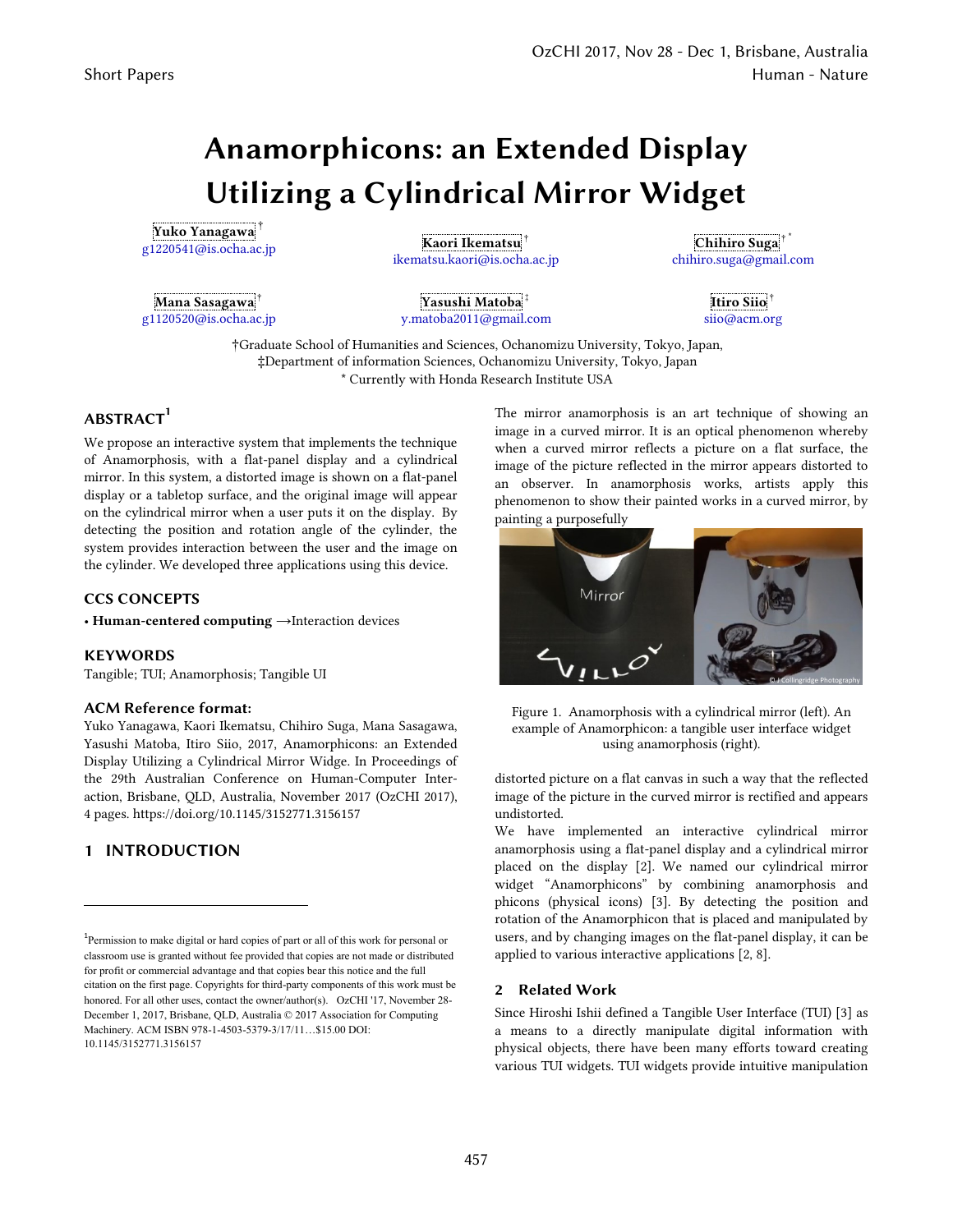# **Anamorphicons: an Extended Display Utilizing a Cylindrical Mirror Widget**

**Yuko Yanagawa**† g1220541@is.ocha.ac.jp **Kaori Ikematsu**†

**Mana Sasagawa**† g1120520@is.ocha.ac.jp ikematsu.kaori@is.ocha.ac.jp

**Yasushi Matoba**‡ y.matoba2011@gmail.com

**Chihiro Suga**†\* chihiro.suga@gmail.com

> **Itiro Siio**† siio@acm.org

†Graduate School of Humanities and Sciences, Ochanomizu University, Tokyo, Japan, ‡Department of information Sciences, Ochanomizu University, Tokyo, Japan \* Currently with Honda Research Institute USA

# **ABSTRACT<sup>1</sup>**

We propose an interactive system that implements the technique of Anamorphosis, with a flat-panel display and a cylindrical mirror. In this system, a distorted image is shown on a flat-panel display or a tabletop surface, and the original image will appear on the cylindrical mirror when a user puts it on the display. By detecting the position and rotation angle of the cylinder, the system provides interaction between the user and the image on the cylinder. We developed three applications using this device.

## **CCS CONCEPTS**

• **Human-centered computing** →Interaction devices

#### **KEYWORDS**

Tangible; TUI; Anamorphosis; Tangible UI

#### **ACM Reference format:**

Yuko Yanagawa, Kaori Ikematsu, Chihiro Suga, Mana Sasagawa, Yasushi Matoba, Itiro Siio, 2017, Anamorphicons: an Extended Display Utilizing a Cylindrical Mirror Widge. In Proceedings of the 29th Australian Conference on Human-Computer Interaction, Brisbane, QLD, Australia, November 2017 (OzCHI 2017), 4 pages. https://doi.org/10.1145/3152771.3156157

# **1 INTRODUCTION**

The mirror anamorphosis is an art technique of showing an image in a curved mirror. It is an optical phenomenon whereby when a curved mirror reflects a picture on a flat surface, the image of the picture reflected in the mirror appears distorted to an observer. In anamorphosis works, artists apply this phenomenon to show their painted works in a curved mirror, by painting a purposefully



Figure 1. Anamorphosis with a cylindrical mirror (left). An example of Anamorphicon: a tangible user interface widget using anamorphosis (right).

distorted picture on a flat canvas in such a way that the reflected image of the picture in the curved mirror is rectified and appears undistorted.

We have implemented an interactive cylindrical mirror anamorphosis using a flat-panel display and a cylindrical mirror placed on the display [2]. We named our cylindrical mirror widget "Anamorphicons" by combining anamorphosis and phicons (physical icons) [3]. By detecting the position and rotation of the Anamorphicon that is placed and manipulated by users, and by changing images on the flat-panel display, it can be applied to various interactive applications [2, 8].

## **2 Related Work**

Since Hiroshi Ishii defined a Tangible User Interface (TUI) [3] as a means to a directly manipulate digital information with physical objects, there have been many efforts toward creating various TUI widgets. TUI widgets provide intuitive manipulation

<sup>&</sup>lt;sup>1</sup>Permission to make digital or hard copies of part or all of this work for personal or classroom use is granted without fee provided that copies are not made or distributed for profit or commercial advantage and that copies bear this notice and the full citation on the first page. Copyrights for third-party components of this work must be honored. For all other uses, contact the owner/author(s). OzCHI '17, November 28-December 1, 2017, Brisbane, QLD, Australia © 2017 Association for Computing Machinery. ACM ISBN 978-1-4503-5379-3/17/11…\$15.00 DOI: 10.1145/3152771.3156157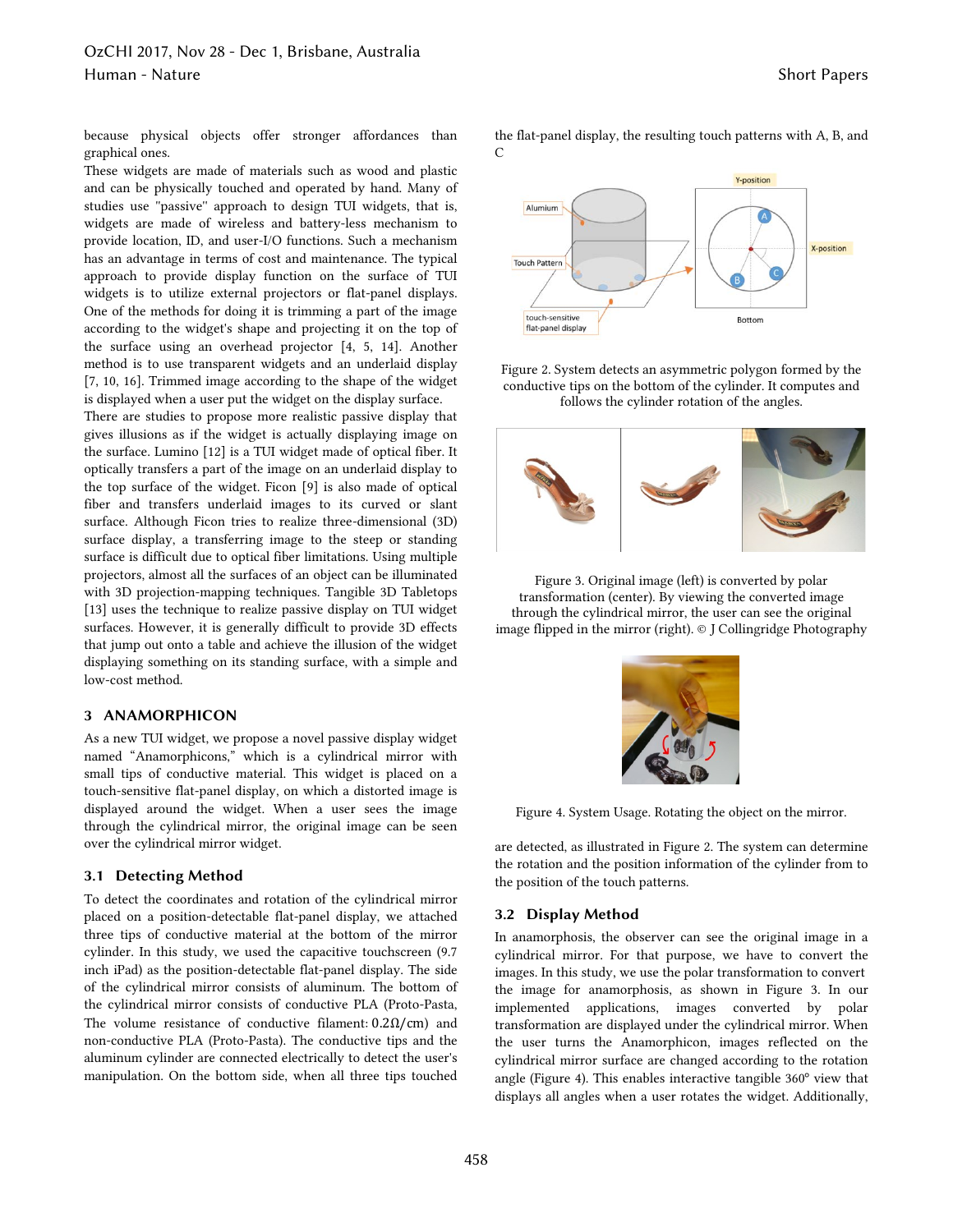because physical objects offer stronger affordances than graphical ones.

These widgets are made of materials such as wood and plastic and can be physically touched and operated by hand. Many of studies use ''passive'' approach to design TUI widgets, that is, widgets are made of wireless and battery-less mechanism to provide location, ID, and user-I/O functions. Such a mechanism has an advantage in terms of cost and maintenance. The typical approach to provide display function on the surface of TUI widgets is to utilize external projectors or flat-panel displays. One of the methods for doing it is trimming a part of the image according to the widget's shape and projecting it on the top of the surface using an overhead projector [4, 5, 14]. Another method is to use transparent widgets and an underlaid display [7, 10, 16]. Trimmed image according to the shape of the widget is displayed when a user put the widget on the display surface.

There are studies to propose more realistic passive display that gives illusions as if the widget is actually displaying image on the surface. Lumino [12] is a TUI widget made of optical fiber. It optically transfers a part of the image on an underlaid display to the top surface of the widget. Ficon [9] is also made of optical fiber and transfers underlaid images to its curved or slant surface. Although Ficon tries to realize three-dimensional (3D) surface display, a transferring image to the steep or standing surface is difficult due to optical fiber limitations. Using multiple projectors, almost all the surfaces of an object can be illuminated with 3D projection-mapping techniques. Tangible 3D Tabletops [13] uses the technique to realize passive display on TUI widget surfaces. However, it is generally difficult to provide 3D effects that jump out onto a table and achieve the illusion of the widget displaying something on its standing surface, with a simple and low-cost method.

#### **3 ANAMORPHICON**

As a new TUI widget, we propose a novel passive display widget named "Anamorphicons," which is a cylindrical mirror with small tips of conductive material. This widget is placed on a touch-sensitive flat-panel display, on which a distorted image is displayed around the widget. When a user sees the image through the cylindrical mirror, the original image can be seen over the cylindrical mirror widget.

## **3.1 Detecting Method**

To detect the coordinates and rotation of the cylindrical mirror placed on a position-detectable flat-panel display, we attached three tips of conductive material at the bottom of the mirror cylinder. In this study, we used the capacitive touchscreen (9.7 inch iPad) as the position-detectable flat-panel display. The side of the cylindrical mirror consists of aluminum. The bottom of the cylindrical mirror consists of conductive PLA (Proto-Pasta, The volume resistance of conductive filament:  $0.2\Omega/cm$ ) and non-conductive PLA (Proto-Pasta). The conductive tips and the aluminum cylinder are connected electrically to detect the user's manipulation. On the bottom side, when all three tips touched the flat-panel display, the resulting touch patterns with A, B, and  $\Gamma$ 



Figure 2. System detects an asymmetric polygon formed by the conductive tips on the bottom of the cylinder. It computes and follows the cylinder rotation of the angles.



Figure 3. Original image (left) is converted by polar transformation (center). By viewing the converted image through the cylindrical mirror, the user can see the original image flipped in the mirror (right). © J Collingridge Photography



Figure 4. System Usage. Rotating the object on the mirror.

are detected, as illustrated in Figure 2. The system can determine the rotation and the position information of the cylinder from to the position of the touch patterns.

#### **3.2 Display Method**

In anamorphosis, the observer can see the original image in a cylindrical mirror. For that purpose, we have to convert the images. In this study, we use the polar transformation to convert the image for anamorphosis, as shown in Figure 3. In our implemented applications, images converted by polar transformation are displayed under the cylindrical mirror. When the user turns the Anamorphicon, images reflected on the cylindrical mirror surface are changed according to the rotation angle (Figure 4). This enables interactive tangible 360° view that displays all angles when a user rotates the widget. Additionally,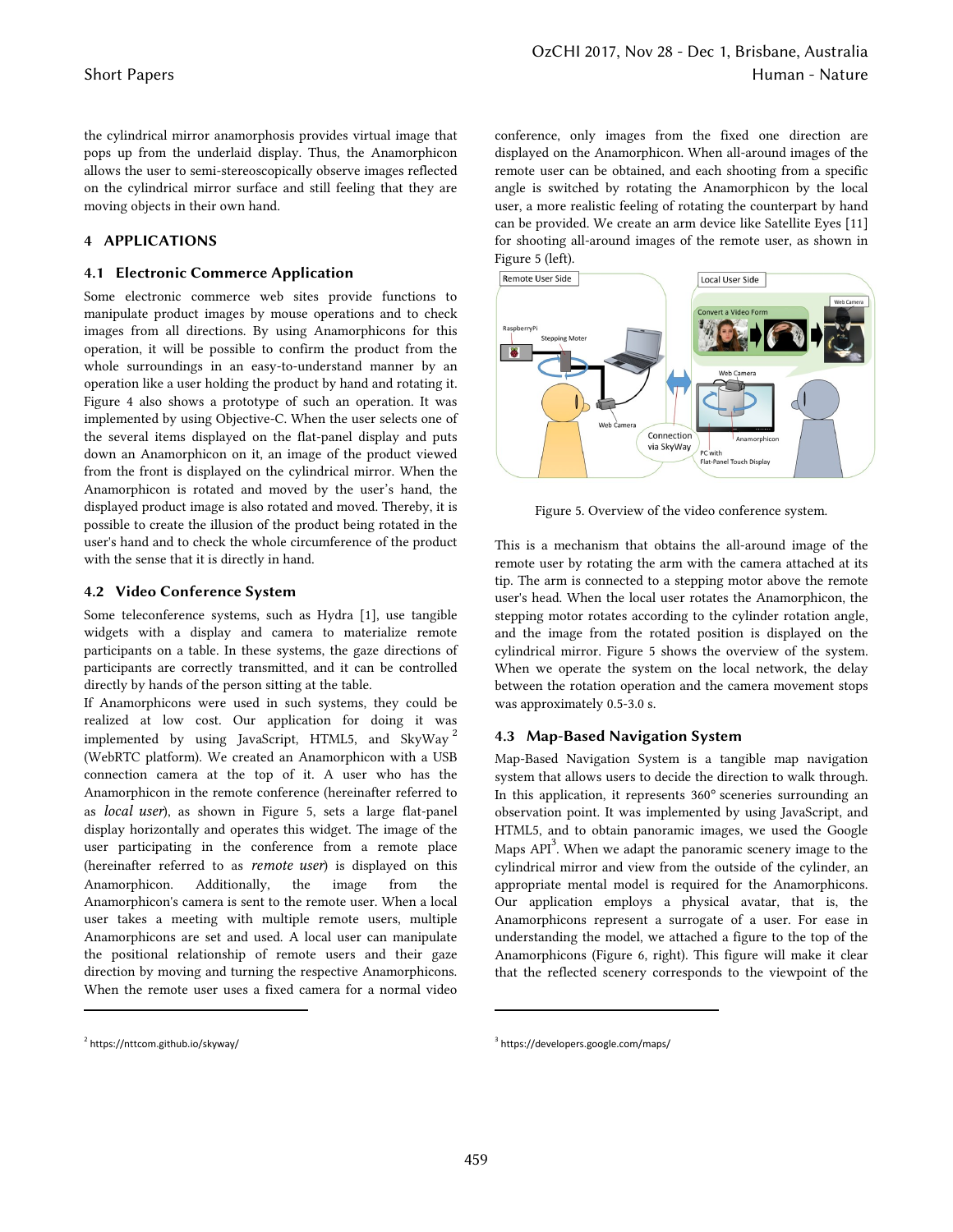the cylindrical mirror anamorphosis provides virtual image that pops up from the underlaid display. Thus, the Anamorphicon allows the user to semi-stereoscopically observe images reflected on the cylindrical mirror surface and still feeling that they are moving objects in their own hand.

## **4 APPLICATIONS**

## **4.1 Electronic Commerce Application**

Some electronic commerce web sites provide functions to manipulate product images by mouse operations and to check images from all directions. By using Anamorphicons for this operation, it will be possible to confirm the product from the whole surroundings in an easy-to-understand manner by an operation like a user holding the product by hand and rotating it. Figure 4 also shows a prototype of such an operation. It was implemented by using Objective-C. When the user selects one of the several items displayed on the flat-panel display and puts down an Anamorphicon on it, an image of the product viewed from the front is displayed on the cylindrical mirror. When the Anamorphicon is rotated and moved by the user's hand, the displayed product image is also rotated and moved. Thereby, it is possible to create the illusion of the product being rotated in the user's hand and to check the whole circumference of the product with the sense that it is directly in hand.

#### **4.2 Video Conference System**

Some teleconference systems, such as Hydra [1], use tangible widgets with a display and camera to materialize remote participants on a table. In these systems, the gaze directions of participants are correctly transmitted, and it can be controlled directly by hands of the person sitting at the table.

If Anamorphicons were used in such systems, they could be realized at low cost. Our application for doing it was implemented by using JavaScript, HTML5, and SkyWay <sup>2</sup> (WebRTC platform). We created an Anamorphicon with a USB connection camera at the top of it. A user who has the Anamorphicon in the remote conference (hereinafter referred to as *local user*), as shown in Figure 5, sets a large flat-panel display horizontally and operates this widget. The image of the user participating in the conference from a remote place (hereinafter referred to as *remote user*) is displayed on this Anamorphicon. Additionally, the image from the Anamorphicon's camera is sent to the remote user. When a local user takes a meeting with multiple remote users, multiple Anamorphicons are set and used. A local user can manipulate the positional relationship of remote users and their gaze direction by moving and turning the respective Anamorphicons. When the remote user uses a fixed camera for a normal video conference, only images from the fixed one direction are displayed on the Anamorphicon. When all-around images of the remote user can be obtained, and each shooting from a specific angle is switched by rotating the Anamorphicon by the local user, a more realistic feeling of rotating the counterpart by hand can be provided. We create an arm device like Satellite Eyes [11] for shooting all-around images of the remote user, as shown in Figure 5 (left).



Figure 5. Overview of the video conference system.

This is a mechanism that obtains the all-around image of the remote user by rotating the arm with the camera attached at its tip. The arm is connected to a stepping motor above the remote user's head. When the local user rotates the Anamorphicon, the stepping motor rotates according to the cylinder rotation angle, and the image from the rotated position is displayed on the cylindrical mirror. Figure 5 shows the overview of the system. When we operate the system on the local network, the delay between the rotation operation and the camera movement stops was approximately 0.5-3.0 s.

## **4.3 Map-Based Navigation System**

Map-Based Navigation System is a tangible map navigation system that allows users to decide the direction to walk through. In this application, it represents 360° sceneries surrounding an observation point. It was implemented by using JavaScript, and HTML5, and to obtain panoramic images, we used the Google Maps  $API<sup>3</sup>$ . When we adapt the panoramic scenery image to the cylindrical mirror and view from the outside of the cylinder, an appropriate mental model is required for the Anamorphicons. Our application employs a physical avatar, that is, the Anamorphicons represent a surrogate of a user. For ease in understanding the model, we attached a figure to the top of the Anamorphicons (Figure 6, right). This figure will make it clear that the reflected scenery corresponds to the viewpoint of the

<sup>2</sup> https://nttcom.github.io/skyway/

<sup>3</sup> https://developers.google.com/maps/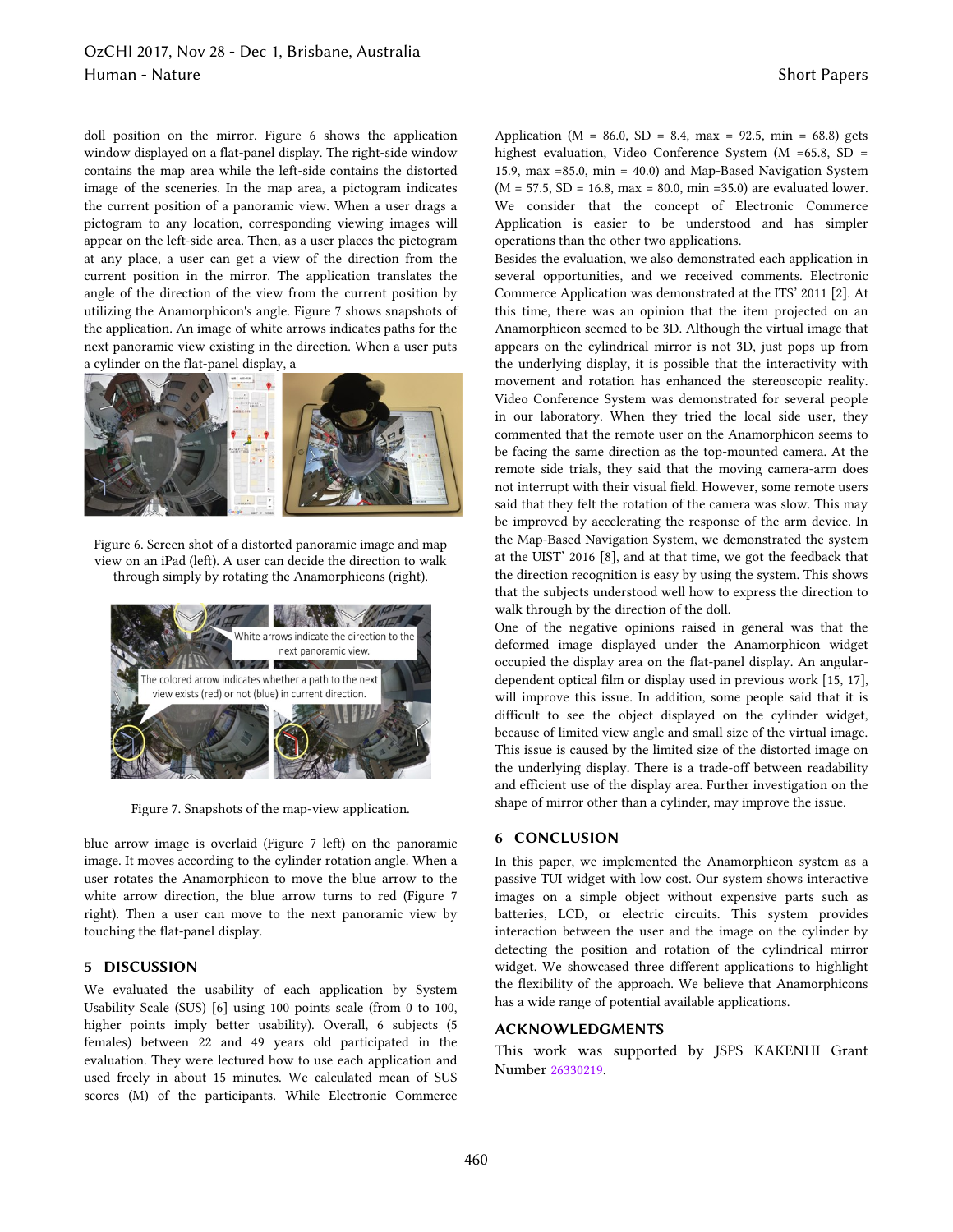# OzCHI 2017, Nov 28 - Dec 1, Brisbane, Australia Human - Nature Short Papers

doll position on the mirror. Figure 6 shows the application window displayed on a flat-panel display. The right-side window contains the map area while the left-side contains the distorted image of the sceneries. In the map area, a pictogram indicates the current position of a panoramic view. When a user drags a pictogram to any location, corresponding viewing images will appear on the left-side area. Then, as a user places the pictogram at any place, a user can get a view of the direction from the current position in the mirror. The application translates the angle of the direction of the view from the current position by utilizing the Anamorphicon's angle. Figure 7 shows snapshots of the application. An image of white arrows indicates paths for the next panoramic view existing in the direction. When a user puts a cylinder on the flat-panel display, a



Figure 6. Screen shot of a distorted panoramic image and map view on an iPad (left). A user can decide the direction to walk through simply by rotating the Anamorphicons (right).



Figure 7. Snapshots of the map-view application.

blue arrow image is overlaid (Figure 7 left) on the panoramic image. It moves according to the cylinder rotation angle. When a user rotates the Anamorphicon to move the blue arrow to the white arrow direction, the blue arrow turns to red (Figure 7 right). Then a user can move to the next panoramic view by touching the flat-panel display.

# **5 DISCUSSION**

We evaluated the usability of each application by System Usability Scale (SUS) [6] using 100 points scale (from 0 to 100, higher points imply better usability). Overall, 6 subjects (5 females) between 22 and 49 years old participated in the evaluation. They were lectured how to use each application and used freely in about 15 minutes. We calculated mean of SUS scores (M) of the participants. While Electronic Commerce Application ( $M = 86.0$ ,  $SD = 8.4$ ,  $max = 92.5$ ,  $min = 68.8$ ) gets highest evaluation, Video Conference System (M =65.8, SD = 15.9, max =85.0, min = 40.0) and Map-Based Navigation System  $(M = 57.5, SD = 16.8, max = 80.0, min = 35.0)$  are evaluated lower. We consider that the concept of Electronic Commerce Application is easier to be understood and has simpler operations than the other two applications.

Besides the evaluation, we also demonstrated each application in several opportunities, and we received comments. Electronic Commerce Application was demonstrated at the ITS' 2011 [2]. At this time, there was an opinion that the item projected on an Anamorphicon seemed to be 3D. Although the virtual image that appears on the cylindrical mirror is not 3D, just pops up from the underlying display, it is possible that the interactivity with movement and rotation has enhanced the stereoscopic reality. Video Conference System was demonstrated for several people in our laboratory. When they tried the local side user, they commented that the remote user on the Anamorphicon seems to be facing the same direction as the top-mounted camera. At the remote side trials, they said that the moving camera-arm does not interrupt with their visual field. However, some remote users said that they felt the rotation of the camera was slow. This may be improved by accelerating the response of the arm device. In the Map-Based Navigation System, we demonstrated the system at the UIST' 2016 [8], and at that time, we got the feedback that the direction recognition is easy by using the system. This shows that the subjects understood well how to express the direction to walk through by the direction of the doll.

One of the negative opinions raised in general was that the deformed image displayed under the Anamorphicon widget occupied the display area on the flat-panel display. An angulardependent optical film or display used in previous work [15, 17], will improve this issue. In addition, some people said that it is difficult to see the object displayed on the cylinder widget, because of limited view angle and small size of the virtual image. This issue is caused by the limited size of the distorted image on the underlying display. There is a trade-off between readability and efficient use of the display area. Further investigation on the shape of mirror other than a cylinder, may improve the issue.

## **6 CONCLUSION**

In this paper, we implemented the Anamorphicon system as a passive TUI widget with low cost. Our system shows interactive images on a simple object without expensive parts such as batteries, LCD, or electric circuits. This system provides interaction between the user and the image on the cylinder by detecting the position and rotation of the cylindrical mirror widget. We showcased three different applications to highlight the flexibility of the approach. We believe that Anamorphicons has a wide range of potential available applications.

#### **ACKNOWLEDGMENTS**

This work was supported by JSPS KAKENHI Grant Number 26330219.